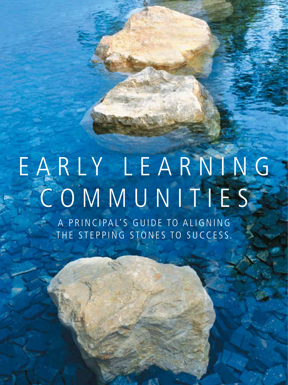## EARLY LEARNING communiti e s A PRINCIPAL'S GUIDE TO ALIGNING THE STEPPING STONES TO SUCCESS.

**28** Principal n September/October 2014 www.naesp.org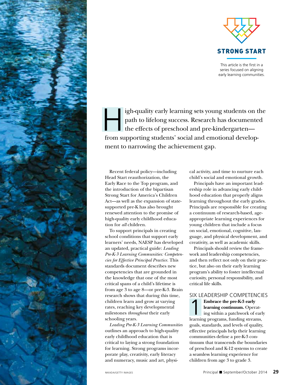

This article is the first in a series focused on aligning early learning communities.

igh-quality early learning sets young students on the<br>path to lifelong success. Research has documented<br>the effects of preschool and pre-kindergarten—<br>from supporting students' social and emotional daylen path to lifelong success. Research has documented the effects of preschool and pre-kindergarten from supporting students' social and emotional development to narrowing the achievement gap.

Recent federal policy—including Head Start reauthorization, the Early Race to the Top program, and the introduction of the bipartisan Strong Start for America's Children Act—as well as the expansion of statesupported pre-K has also brought renewed attention to the promise of high-quality early childhood education for *all* children.

To support principals in creating school conditions that support early learners' needs, NAESP has developed an updated, practical guide: *Leading Pre-K-3 Learning Communities: Competencies for Effective Principal Practice.* This standards document describes new competencies that are grounded in the knowledge that one of the most critical spans of a child's lifetime is from age 3 to age 8—or pre-K-3. Brain research shows that during this time, children learn and grow at varying rates, reaching key developmental milestones *throughout* their early schooling years.

*Leading Pre-K-3 Learning Communities*  outlines an approach to high-quality early childhood education that is critical to laying a strong foundation for learning. Strong programs incorporate play, creativity, early literacy and numeracy, music and art, physical activity, and time to nurture each child's social and emotional growth.

Principals have an important leadership role in advancing early childhood education that properly aligns learning throughout the early grades. Principals are responsible for creating a continuum of research-based, ageappropriate learning experiences for young children that include a focus on social, emotional, cognitive, language, and physical development, and creativity, as well as academic skills.

Principals should review the framework and leadership competencies, and then reflect not only on their practice, but also on their early learning program's ability to foster intellectual curiosity, personal responsibility, and critical life skills.

## Six Leadership Competencies

**Embrace the pre-K-3 early<br>
learning continuum.** Operating within a patchwork of continuum. **learning continuum.** Operating within a patchwork of early learning programs, funding streams, goals, standards, and levels of quality, effective principals help their learning communities define a pre-K-3 continuum that transcends the boundaries of preschool and K-12 systems to create a seamless learning experience for children from age 3 to grade 3.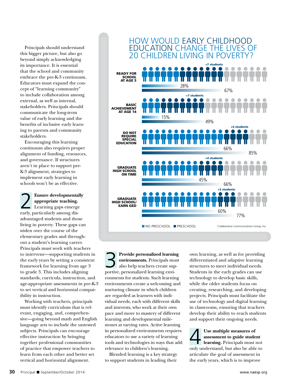Principals should understand this bigger picture, but also go beyond simply acknowledging its importance. It is essential that the school and community embrace the pre-K-3 continuum. Educators must expand the concept of "learning community" to include collaboration among external, as well as internal, stakeholders. Principals should communicate the long-term value of early learning and the benefits of inclusive early learning to parents and community stakeholders.

Encouraging this learning continuum also requires proper alignment of funding, resources, and governance. If structures aren't in place to support pre-K-3 alignment, strategies to implement early learning in schools won't be as effective.

2 **Ensure developmentally appropriate teaching.**  Learning gaps emerge early, particularly among disadvantaged students and those living in poverty. These gaps can widen over the course of the elementary grades and throughout a student's learning career. Principals must work with teachers to intervene—supporting students in the early years by setting a consistent framework for learning from age 3 to grade 3. This includes aligning standards, curricula, instruction, and age-appropriate assessments in pre-K-3 to set vertical and horizontal compatibility in instruction.

Working with teachers, principals must identify curriculum that is relevant, engaging, and, comprehensive—going beyond math and English language arts to include the untested subjects. Principals can encourage effective instruction by bringing together professional communities of practice that empower teachers to learn from each other and better set vertical and horizontal alignment.



3 **Provide personalized learning environments.** Principals must also help teachers create supportive, personalized learning environments for students. Such learning environments create a welcoming and nurturing climate in which children are regarded as learners with individual needs, each with different skills and interests, who work at their own pace and move to mastery of different learning and developmental milestones at varying rates. Active learning in personalized environments requires educators to use a variety of learning tools and technologies in ways that add relevance to children's learning.

Blended learning is a key strategy to support students in leading their own learning, as well as for providing differentiated and adaptive learning structures to meet individual needs. Students in the early grades can use technology to develop basic skills, while the older students focus on creating, researching, and developing projects. Principals must facilitate the use of technology and digital learning in classrooms, ensuring that teachers develop their ability to reach students and support their ongoing needs.

Use multiple measures of<br>assessment to guide studer<br>learning. Principals must really understand by take he able **assessment to guide student learning.** Principals must not only understand, but also be able to articulate the goal of assessment in the early years, which is to improve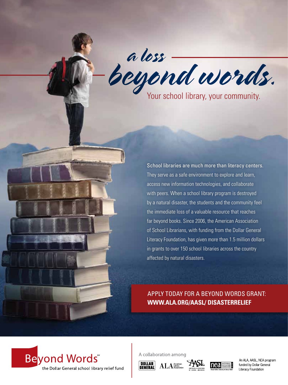a loss beyond words.

Your school library, your community.

School libraries are much more than literacy centers. They serve as a safe environment to explore and learn, access new information technologies, and collaborate with peers. When a school library program is destroyed by a natural disaster, the students and the community feel the immediate loss of a valuable resource that reaches far beyond books. Since 2006, the American Association of School Librarians, with funding from the Dollar General Literacy Foundation, has given more than 1.5 million dollars in grants to over 150 school libraries across the country affected by natural disasters.

APPLY TODAY FOR A BEYOND WORDS GRANT: **WWW.ALA.ORG/AASL/ DISASTERRELIEF**



A collaboration among

DOLLAR<br>GENERAL





An ALA, AASL, NEA program funded by Dollar General Literacy Foundation